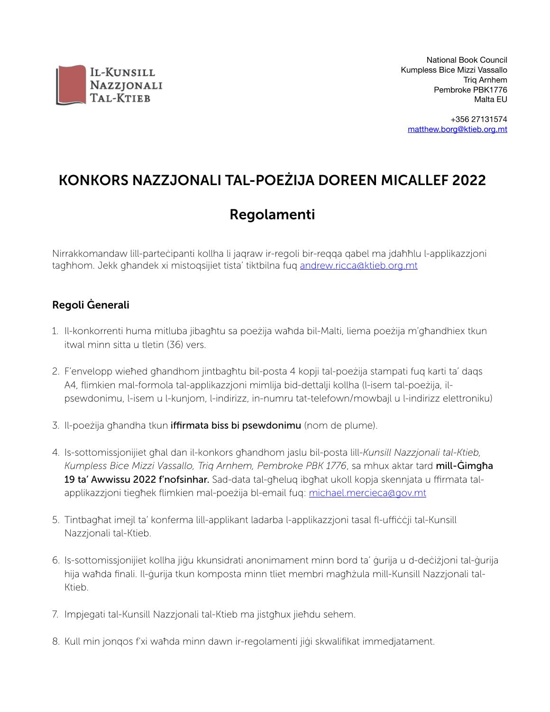

+356 27131574 [matthew.borg@ktieb.org.mt](mailto:matthew.borg@ktieb.org.mt)

# KONKORS NAZZJONALI TAL-POEŻIJA DOREEN MICALLEF 2022

## Regolamenti

Nirrakkomandaw lill-parteċipanti kollha li jaqraw ir-regoli bir-reqqa qabel ma jdaħħlu l-applikazzjoni tagħhom. Jekk għandek xi mistoqsijiet tista' tiktbilna fuq [andrew.ricca@ktieb.org.mt](mailto:andrew.ricca@ktieb.org.mt)

### Regoli Ġenerali

- 1. Il-konkorrenti huma mitluba jibagħtu sa poeżija waħda bil-Malti, liema poeżija m'għandhiex tkun itwal minn sitta u tletin (36) vers.
- 2. F'envelopp wieħed għandhom jintbagħtu bil-posta 4 kopji tal-poeżija stampati fuq karti ta' daqs A4, flimkien mal-formola tal-applikazzjoni mimlija bid-dettalji kollha (l-isem tal-poeżija, ilpsewdonimu, l-isem u l-kunjom, l-indirizz, in-numru tat-telefown/mowbajl u l-indirizz elettroniku)
- 3. Il-poeżija għandha tkun iffirmata biss bi psewdonimu (nom de plume).
- 4. Is-sottomissjonijiet għal dan il-konkors għandhom jaslu bil-posta lill-*Kunsill Nazzjonali tal-Ktieb,*  Kumpless Bice Mizzi Vassallo, Trig Arnhem, Pembroke PBK 1776, sa mhux aktar tard **mill-Ġimgħa** 19 ta' Awwissu 2022 f'nofsinhar. Sad-data tal-għeluq ibgħat ukoll kopja skennjata u ffirmata talapplikazzjoni tiegħek flimkien mal-poeżija bl-email fuq: [michael.mercieca@gov.mt](mailto:michael.mercieca@gov.mt)
- 5. Tintbagħat imejl ta' konferma lill-applikant ladarba l-applikazzjoni tasal fl-uffiċċji tal-Kunsill Nazzjonali tal-Ktieb.
- 6. Is-sottomissjonijiet kollha jiġu kkunsidrati anonimament minn bord ta' ġurija u d-deċiżjoni tal-ġurija hija waħda finali. Il-ġurija tkun komposta minn tliet membri magħżula mill-Kunsill Nazzjonali tal-Ktieb.
- 7. Impjegati tal-Kunsill Nazzjonali tal-Ktieb ma jistgħux jieħdu sehem.
- 8. Kull min jonqos f'xi waħda minn dawn ir-regolamenti jiġi skwalifikat immedjatament.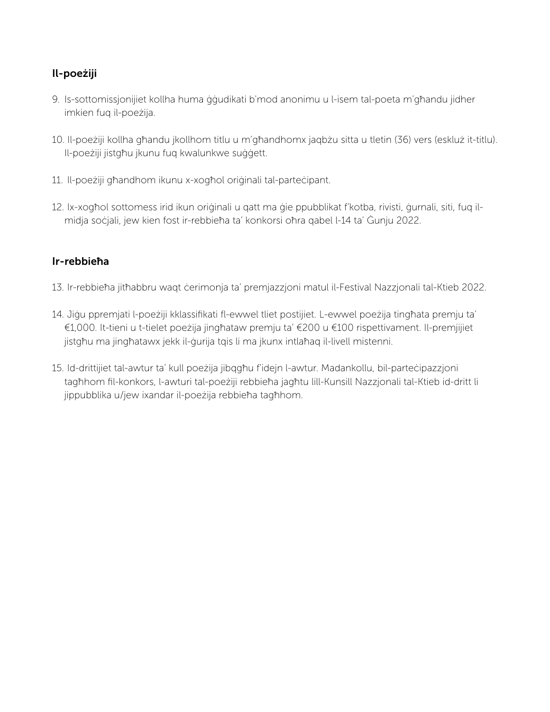### Il-poeżiji

- 9. Is-sottomissjonijiet kollha huma ġġudikati b'mod anonimu u l-isem tal-poeta m'għandu jidher imkien fuq il-poeżija.
- 10. Il-poeżiji kollha għandu jkollhom titlu u m'għandhomx jaqbżu sitta u tletin (36) vers (eskluż it-titlu). Il-poeżiji jistgħu jkunu fuq kwalunkwe suġġett.
- 11. Il-poeżiji għandhom ikunu x-xogħol oriġinali tal-parteċipant.
- 12. Ix-xogħol sottomess irid ikun oriġinali u qatt ma ġie ppubblikat f'kotba, rivisti, ġurnali, siti, fuq ilmidja soċjali, jew kien fost ir-rebbieħa ta' konkorsi oħra qabel l-14 ta' Ġunju 2022.

### Ir-rebbieħa

- 13. Ir-rebbieħa jitħabbru waqt ċerimonja ta' premjazzjoni matul il-Festival Nazzjonali tal-Ktieb 2022.
- 14. Jiġu ppremjati l-poeżiji kklassifikati fl-ewwel tliet postijiet. L-ewwel poeżija tingħata premju ta' €1,000. It-tieni u t-tielet poeżija jingħataw premju ta' €200 u €100 rispettivament. Il-premjijiet jistgħu ma jingħatawx jekk il-ġurija tqis li ma jkunx intlaħaq il-livell mistenni.
- 15. Id-drittijiet tal-awtur ta' kull poeżija jibqgħu f'idejn l-awtur. Madankollu, bil-parteċipazzjoni tagħhom fil-konkors, l-awturi tal-poeżiji rebbieħa jagħtu lill-Kunsill Nazzjonali tal-Ktieb id-dritt li jippubblika u/jew ixandar il-poeżija rebbieħa tagħhom.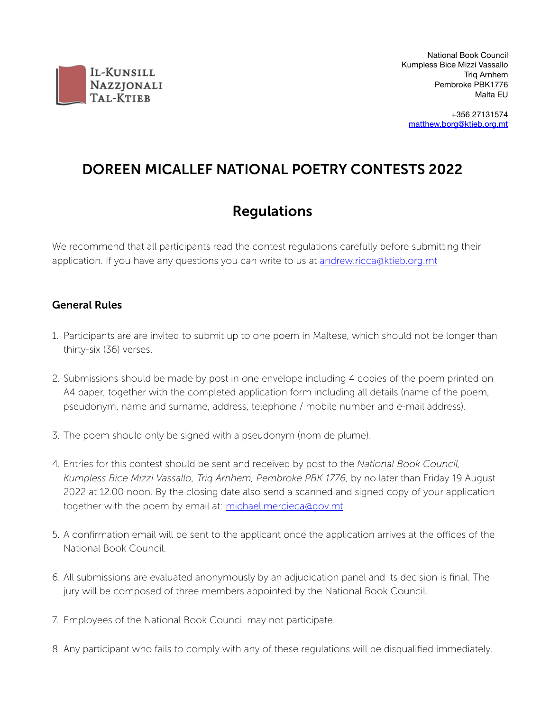

National Book Council Kumpless Bice Mizzi Vassallo Triq Arnhem Pembroke PBK1776 Malta EU

+356 27131574 [matthew.borg@ktieb.org.mt](mailto:matthew.borg@ktieb.org.mt)

# DOREEN MICALLEF NATIONAL POETRY CONTESTS 2022

## Regulations

We recommend that all participants read the contest regulations carefully before submitting their application. If you have any questions you can write to us at [andrew.ricca@ktieb.org.mt](mailto:andrew.ricca@ktieb.org.mt)

#### General Rules

- 1. Participants are are invited to submit up to one poem in Maltese, which should not be longer than thirty-six (36) verses.
- 2. Submissions should be made by post in one envelope including 4 copies of the poem printed on A4 paper, together with the completed application form including all details (name of the poem, pseudonym, name and surname, address, telephone / mobile number and e-mail address).
- 3. The poem should only be signed with a pseudonym (nom de plume).
- 4. Entries for this contest should be sent and received by post to the *National Book Council, Kumpless Bice Mizzi Vassallo, Triq Arnhem, Pembroke PBK 1776*, by no later than Friday 19 August 2022 at 12.00 noon. By the closing date also send a scanned and signed copy of your application together with the poem by email at: [michael.mercieca@gov.mt](mailto:michael.mercieca@gov.mt)
- 5. A confirmation email will be sent to the applicant once the application arrives at the offices of the National Book Council.
- 6. All submissions are evaluated anonymously by an adjudication panel and its decision is final. The jury will be composed of three members appointed by the National Book Council.
- 7. Employees of the National Book Council may not participate.
- 8. Any participant who fails to comply with any of these regulations will be disqualified immediately.